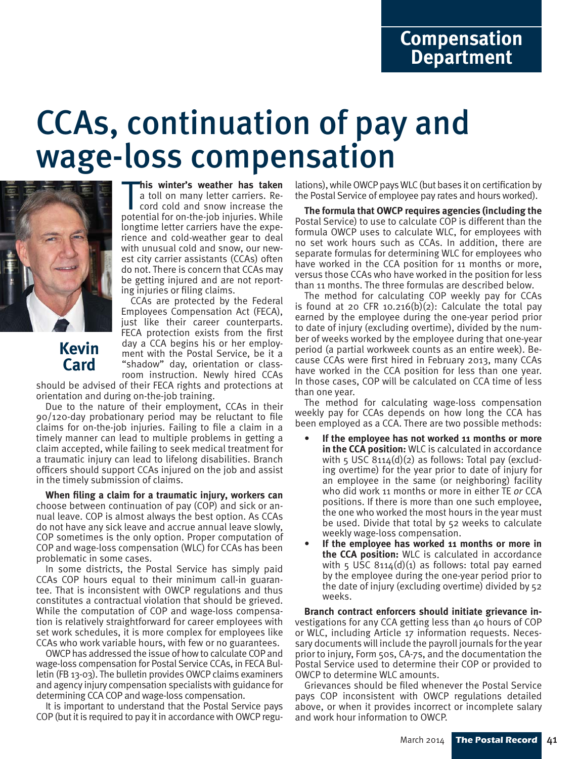# CCAs, continuation of pay and wage-loss compensation



**This winter's weather has taken**<br>a toll on many letter carriers. Record cold and snow increase the<br>potential for on-the-job injuries. While **his winter's weather has taken** a toll on many letter carriers. Record cold and snow increase the longtime letter carriers have the experience and cold-weather gear to deal with unusual cold and snow, our newest city carrier assistants (CCAs) often do not. There is concern that CCAs may be getting injured and are not reporting injuries or filing claims.

**Kevin Card**

CCAs are protected by the Federal Employees Compensation Act (FECA), just like their career counterparts. FECA protection exists from the first day a CCA begins his or her employment with the Postal Service, be it a "shadow" day, orientation or classroom instruction. Newly hired CCAs

should be advised of their FECA rights and protections at orientation and during on-the-job training.

Due to the nature of their employment, CCAs in their  $90/120$ -day probationary period may be reluctant to file claims for on-the-job injuries. Failing to file a claim in a timely manner can lead to multiple problems in getting a claim accepted, while failing to seek medical treatment for a traumatic injury can lead to lifelong disabilities. Branch officers should support CCAs injured on the job and assist in the timely submission of claims.

**When filing a claim for a traumatic injury, workers can** choose between continuation of pay (COP) and sick or annual leave. COP is almost always the best option. As CCAs do not have any sick leave and accrue annual leave slowly, COP sometimes is the only option. Proper computation of COP and wage-loss compensation (WLC) for CCAs has been problematic in some cases.

In some districts, the Postal Service has simply paid CCAs COP hours equal to their minimum call-in guarantee. That is inconsistent with OWCP regulations and thus constitutes a contractual violation that should be grieved. While the computation of COP and wage-loss compensation is relatively straightforward for career employees with set work schedules, it is more complex for employees like CCAs who work variable hours, with few or no guarantees.

OWCP has addressed the issue of how to calculate COP and wage-loss compensation for Postal Service CCAs, in FECA Bulletin (FB 13-03). The bulletin provides OWCP claims examiners and agency injury compensation specialists with guidance for determining CCA COP and wage-loss compensation.

It is important to understand that the Postal Service pays COP (but it is required to pay it in accordance with OWCP regulations), while OWCP pays WLC (but bases it on certification by the Postal Service of employee pay rates and hours worked).

**The formula that OWCP requires agencies (including the**  Postal Service) to use to calculate COP is different than the formula OWCP uses to calculate WLC, for employees with no set work hours such as CCAs. In addition, there are separate formulas for determining WLC for employees who have worked in the CCA position for 11 months or more, versus those CCAs who have worked in the position for less than 11 months. The three formulas are described below.

The method for calculating COP weekly pay for CCAs is found at 20 CFR 10.216 $(b)(2)$ : Calculate the total pay earned by the employee during the one-year period prior to date of injury (excluding overtime), divided by the number of weeks worked by the employee during that one-year period (a partial workweek counts as an entire week). Because CCAs were first hired in February 2013, many CCAs have worked in the CCA position for less than one year. In those cases, COP will be calculated on CCA time of less than one year.

The method for calculating wage-loss compensation weekly pay for CCAs depends on how long the CCA has been employed as a CCA. There are two possible methods:

- **If the employee has not worked 11 months or more in the CCA position:** WLC is calculated in accordance with 5 USC  $8114(d)(2)$  as follows: Total pay (excluding overtime) for the year prior to date of injury for an employee in the same (or neighboring) facility who did work 11 months or more in either TE *or* CCA positions. If there is more than one such employee, the one who worked the most hours in the year must be used. Divide that total by 52 weeks to calculate weekly wage-loss compensation.
- **If the employee has worked 11 months or more in the CCA position:** WLC is calculated in accordance with 5 USC  $8114(d)(1)$  as follows: total pay earned by the employee during the one-year period prior to the date of injury (excluding overtime) divided by 52 weeks.

**Branch contract enforcers should initiate grievance in**vestigations for any CCA getting less than 40 hours of COP or WLC, including Article 17 information requests. Necessary documents will include the payroll journals for the year prior to injury, Form 50s, CA-7s, and the documentation the Postal Service used to determine their COP or provided to OWCP to determine WLC amounts.

Grievances should be filed whenever the Postal Service pays COP inconsistent with OWCP regulations detailed above, or when it provides incorrect or incomplete salary and work hour information to OWCP.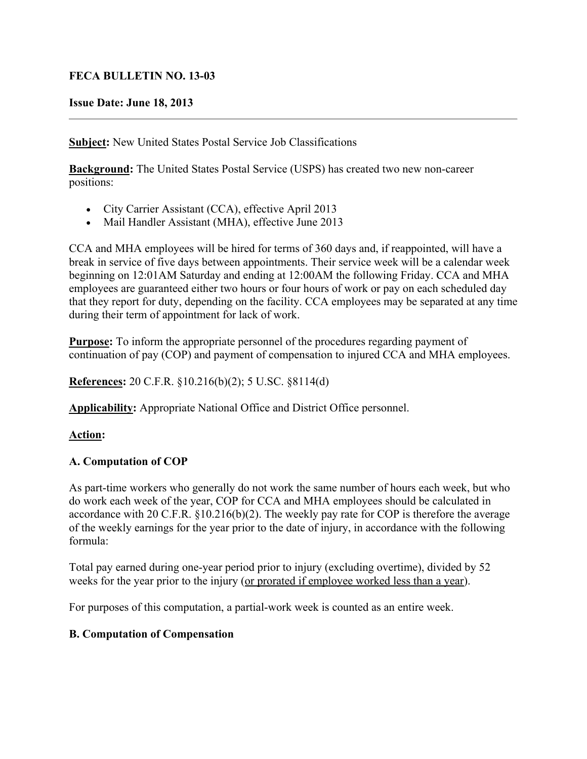### **FECA BULLETIN NO. 13-03**

#### **Issue Date: June 18, 2013**

**Subject:** New United States Postal Service Job Classifications

**Background:** The United States Postal Service (USPS) has created two new non-career positions:

- City Carrier Assistant (CCA), effective April 2013
- Mail Handler Assistant (MHA), effective June 2013

CCA and MHA employees will be hired for terms of 360 days and, if reappointed, will have a break in service of five days between appointments. Their service week will be a calendar week beginning on 12:01AM Saturday and ending at 12:00AM the following Friday. CCA and MHA employees are guaranteed either two hours or four hours of work or pay on each scheduled day that they report for duty, depending on the facility. CCA employees may be separated at any time during their term of appointment for lack of work.

**Purpose:** To inform the appropriate personnel of the procedures regarding payment of continuation of pay (COP) and payment of compensation to injured CCA and MHA employees.

**References:** 20 C.F.R. §10.216(b)(2); 5 U.SC. §8114(d)

**Applicability:** Appropriate National Office and District Office personnel.

# **Action:**

# **A. Computation of COP**

As part-time workers who generally do not work the same number of hours each week, but who do work each week of the year, COP for CCA and MHA employees should be calculated in accordance with 20 C.F.R. §10.216(b)(2). The weekly pay rate for COP is therefore the average of the weekly earnings for the year prior to the date of injury, in accordance with the following formula:

Total pay earned during one-year period prior to injury (excluding overtime), divided by 52 weeks for the year prior to the injury (or prorated if employee worked less than a year).

For purposes of this computation, a partial-work week is counted as an entire week.

#### **B. Computation of Compensation**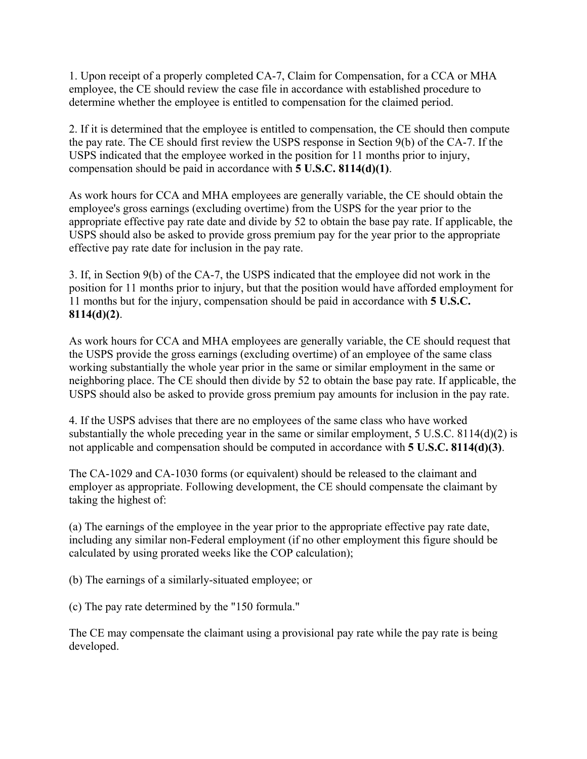1. Upon receipt of a properly completed CA-7, Claim for Compensation, for a CCA or MHA employee, the CE should review the case file in accordance with established procedure to determine whether the employee is entitled to compensation for the claimed period.

2. If it is determined that the employee is entitled to compensation, the CE should then compute the pay rate. The CE should first review the USPS response in Section 9(b) of the CA-7. If the USPS indicated that the employee worked in the position for 11 months prior to injury, compensation should be paid in accordance with **5 U.S.C. 8114(d)(1)**.

As work hours for CCA and MHA employees are generally variable, the CE should obtain the employee's gross earnings (excluding overtime) from the USPS for the year prior to the appropriate effective pay rate date and divide by 52 to obtain the base pay rate. If applicable, the USPS should also be asked to provide gross premium pay for the year prior to the appropriate effective pay rate date for inclusion in the pay rate.

3. If, in Section 9(b) of the CA-7, the USPS indicated that the employee did not work in the position for 11 months prior to injury, but that the position would have afforded employment for 11 months but for the injury, compensation should be paid in accordance with **5 U.S.C. 8114(d)(2)**.

As work hours for CCA and MHA employees are generally variable, the CE should request that the USPS provide the gross earnings (excluding overtime) of an employee of the same class working substantially the whole year prior in the same or similar employment in the same or neighboring place. The CE should then divide by 52 to obtain the base pay rate. If applicable, the USPS should also be asked to provide gross premium pay amounts for inclusion in the pay rate.

4. If the USPS advises that there are no employees of the same class who have worked substantially the whole preceding year in the same or similar employment, 5 U.S.C. 8114(d)(2) is not applicable and compensation should be computed in accordance with **5 U.S.C. 8114(d)(3)**.

The CA-1029 and CA-1030 forms (or equivalent) should be released to the claimant and employer as appropriate. Following development, the CE should compensate the claimant by taking the highest of:

(a) The earnings of the employee in the year prior to the appropriate effective pay rate date, including any similar non-Federal employment (if no other employment this figure should be calculated by using prorated weeks like the COP calculation);

(b) The earnings of a similarly-situated employee; or

(c) The pay rate determined by the "150 formula."

The CE may compensate the claimant using a provisional pay rate while the pay rate is being developed.